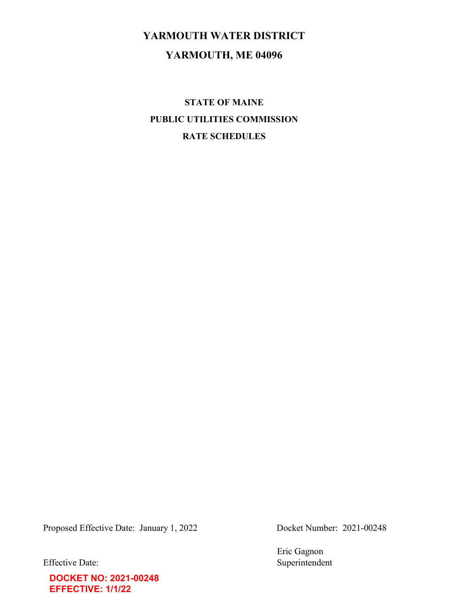# YARMOUTH WATER DISTRICT YARMOUTH, ME 04096

STATE OF MAINE PUBLIC UTILITIES COMMISSION RATE SCHEDULES

Proposed Effective Date: January 1, 2022 Docket Number: 2021-00248

**DOCKET NO: 2021-00248 EFFECTIVE: 1/1/22**

Eric Gagnon Effective Date: Superintendent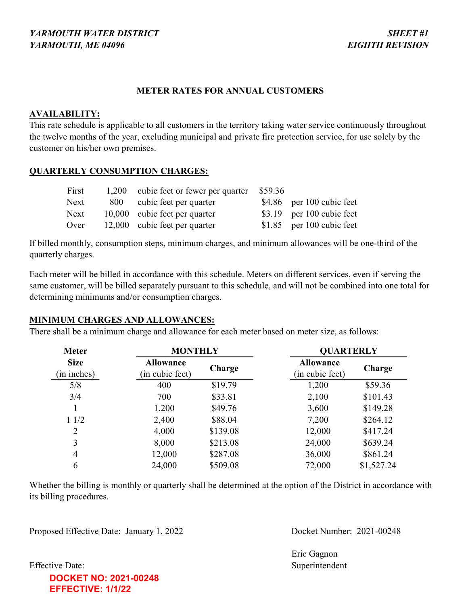# METER RATES FOR ANNUAL CUSTOMERS

### AVAILABILITY:

This rate schedule is applicable to all customers in the territory taking water service continuously throughout the twelve months of the year, excluding municipal and private fire protection service, for use solely by the customer on his/her own premises.

# QUARTERLY CONSUMPTION CHARGES:

| First | 1,200 cubic feet or fewer per quarter | \$59.36 |                            |
|-------|---------------------------------------|---------|----------------------------|
| Next  | 800 cubic feet per quarter            |         | $$4.86$ per 100 cubic feet |
| Next  | 10,000 cubic feet per quarter         |         | $$3.19$ per 100 cubic feet |
| Over  | 12,000 cubic feet per quarter         |         | $$1.85$ per 100 cubic feet |

If billed monthly, consumption steps, minimum charges, and minimum allowances will be one-third of the quarterly charges.

Each meter will be billed in accordance with this schedule. Meters on different services, even if serving the same customer, will be billed separately pursuant to this schedule, and will not be combined into one total for determining minimums and/or consumption charges.

# MINIMUM CHARGES AND ALLOWANCES:

There shall be a minimum charge and allowance for each meter based on meter size, as follows:

| <b>Meter</b>               | <b>MONTHLY</b>                      |          | <b>QUARTERLY</b>                    |            |  |
|----------------------------|-------------------------------------|----------|-------------------------------------|------------|--|
| <b>Size</b><br>(in inches) | <b>Allowance</b><br>(in cubic feet) | Charge   | <b>Allowance</b><br>(in cubic feet) | Charge     |  |
| 5/8                        | 400                                 | \$19.79  | 1,200                               | \$59.36    |  |
| 3/4                        | 700                                 | \$33.81  | 2,100                               | \$101.43   |  |
|                            | 1,200                               | \$49.76  | 3,600                               | \$149.28   |  |
| 11/2                       | 2,400                               | \$88.04  | 7,200                               | \$264.12   |  |
| $\overline{2}$             | 4,000                               | \$139.08 | 12,000                              | \$417.24   |  |
| 3                          | 8,000                               | \$213.08 | 24,000                              | \$639.24   |  |
| 4                          | 12,000                              | \$287.08 | 36,000                              | \$861.24   |  |
| 6                          | 24,000                              | \$509.08 | 72,000                              | \$1,527.24 |  |

Whether the billing is monthly or quarterly shall be determined at the option of the District in accordance with its billing procedures.

Proposed Effective Date: January 1, 2022 Docket Number: 2021-00248

Eric Gagnon Effective Date: Superintendent

# **DOCKET NO: 2021-00248 EFFECTIVE: 1/1/22**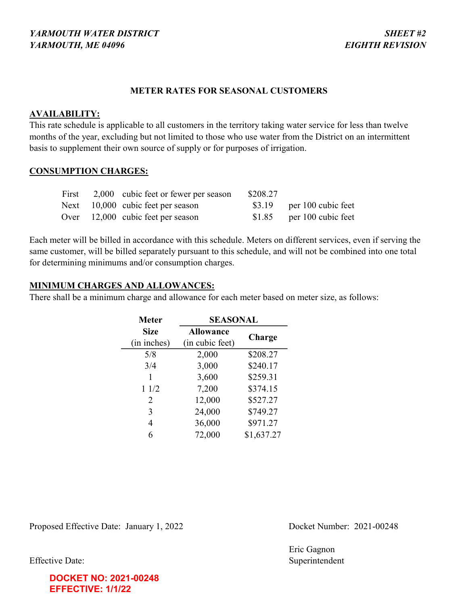### METER RATES FOR SEASONAL CUSTOMERS

#### AVAILABILITY:

This rate schedule is applicable to all customers in the territory taking water service for less than twelve months of the year, excluding but not limited to those who use water from the District on an intermittent basis to supplement their own source of supply or for purposes of irrigation.

#### CONSUMPTION CHARGES:

| First | 2,000 cubic feet or fewer per season | \$208.27 |                            |
|-------|--------------------------------------|----------|----------------------------|
|       | Next $10,000$ cubic feet per season  |          | $$3.19$ per 100 cubic feet |
|       | Over $12,000$ cubic feet per season  |          | $$1.85$ per 100 cubic feet |

Each meter will be billed in accordance with this schedule. Meters on different services, even if serving the same customer, will be billed separately pursuant to this schedule, and will not be combined into one total for determining minimums and/or consumption charges.

# MINIMUM CHARGES AND ALLOWANCES:

There shall be a minimum charge and allowance for each meter based on meter size, as follows:

| <b>Meter</b> | <b>SEASONAL</b>  |            |  |
|--------------|------------------|------------|--|
| <b>Size</b>  | <b>Allowance</b> | Charge     |  |
| (in inches)  | (in cubic feet)  |            |  |
| 5/8          | 2,000            | \$208.27   |  |
| 3/4          | 3,000            | \$240.17   |  |
| 1            | 3,600            | \$259.31   |  |
| 11/2         | 7,200            | \$374.15   |  |
| 2            | 12,000           | \$527.27   |  |
| 3            | 24,000           | \$749.27   |  |
| 4            | 36,000           | \$971.27   |  |
|              | 72,000           | \$1,637.27 |  |

Proposed Effective Date: January 1, 2022 Docket Number: 2021-00248

Eric Gagnon Effective Date: Superintendent

**DOCKET NO: 2021-00248 EFFECTIVE: 1/1/22**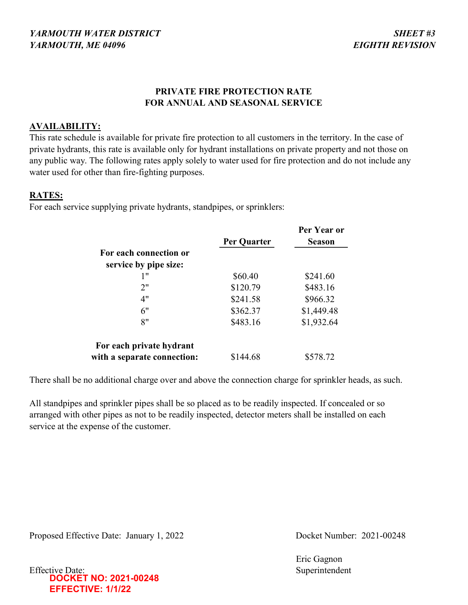# PRIVATE FIRE PROTECTION RATE FOR ANNUAL AND SEASONAL SERVICE

# AVAILABILITY:

This rate schedule is available for private fire protection to all customers in the territory. In the case of private hydrants, this rate is available only for hydrant installations on private property and not those on any public way. The following rates apply solely to water used for fire protection and do not include any water used for other than fire-fighting purposes.

# RATES:

For each service supplying private hydrants, standpipes, or sprinklers:

|                             |             | Per Year or   |
|-----------------------------|-------------|---------------|
|                             | Per Quarter | <b>Season</b> |
| For each connection or      |             |               |
| service by pipe size:       |             |               |
| 1"                          | \$60.40     | \$241.60      |
| 2"                          | \$120.79    | \$483.16      |
| 4"                          | \$241.58    | \$966.32      |
| 6"                          | \$362.37    | \$1,449.48    |
| 8"                          | \$483.16    | \$1,932.64    |
| For each private hydrant    |             |               |
| with a separate connection: | \$144.68    | \$578.72      |

There shall be no additional charge over and above the connection charge for sprinkler heads, as such.

All standpipes and sprinkler pipes shall be so placed as to be readily inspected. If concealed or so arranged with other pipes as not to be readily inspected, detector meters shall be installed on each service at the expense of the customer.

Proposed Effective Date: January 1, 2022 Docket Number: 2021-00248

Eric Gagnon